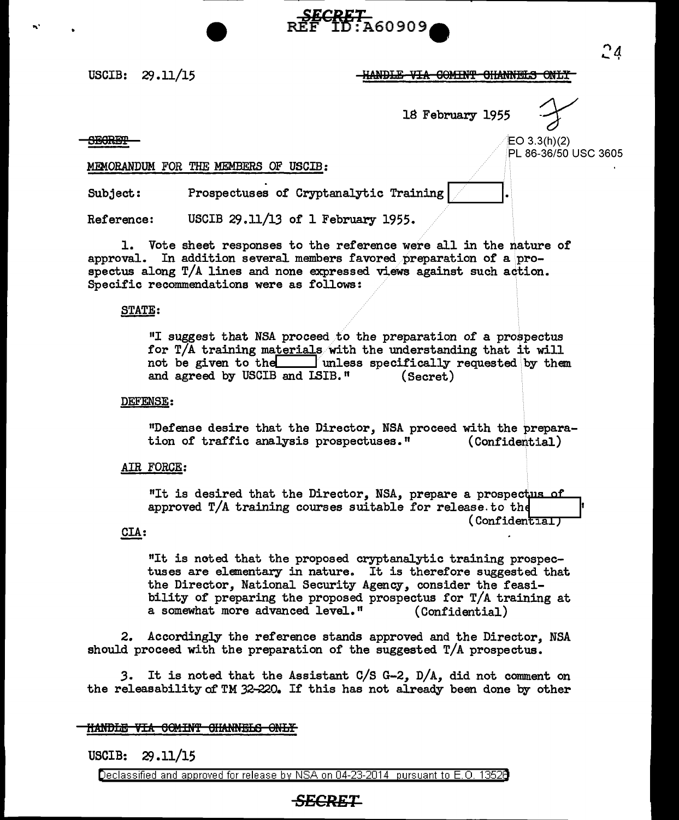USCIB: 29.11/15

## -HANDLE-VIA COMINT CHANNELS ONLY

18 February 1955

...

 $\overline{\text{SBGREP}}$   $\rightarrow$   $\overline{\text{SEOREP}}$   $\rightarrow$ PL 86-36/50 USC 3605

### MEMORANDUM FOR THE MEMBERS OF USCIB:

Subject: Prospectuses of Cryptanalytic Training

Reference: USCIB 29.11/13 of 1 February 1955.

1. Vote sheet responses to the reference were all in the nature of approval. In addition several members favored preparation of a prospectus along  $T/A$  lines and none expressed views against such action. Specific recommendations were as follows:

#### STATE:

"I suggest that NSA proceed to the preparation of a prospectus for T/A training materials with the understanding that it will not be given to the lunless specifically requested by them and agreed by USCIB and LSIB." (Secret) and agreed by USCIB and LSIB."

**SECRET**<br>REF ID:A60909

#### DEFENSE:

"Defense desire that the Director, NSA proceed with the prepara-<br>tion of traffic analysis prospectuses." (Confidential) tion of traffic analysis prospectuses."

#### AIR FORCE:

"It is desired that the Director, NSA, prepare a prospectus of approved  $T/A$  training courses suitable for release. to the  $($  Confidential  $\overline{I}$ 

## CIA:

"It is noted that the proposed cryptanalytic training prospectuses are elementary in nature. It is therefore suggested that the Director, National Security Agency, consider the feasibility of preparing the proposed prospectus for  $T/A$  training at a somewhat more advanced level." (Confidential) a somewhat more advanced level."

2. Accordingly the reference stands approved and the Director, NSA should proceed with the preparation of the suggested T/A prospectus.

*3.* It is noted that the Assistant C/S G-2, D/A, did not comment on the releasability of TM 32-220. If' this has not already been done by other

## <del>HANDLE VIA COMINT CHANNELS ONLY</del>

USCIB: 29 .11/15

Declassified and approved for release by NSA on 04-23-2014 pursuant to E. 0. 1352B

# *SECRET*